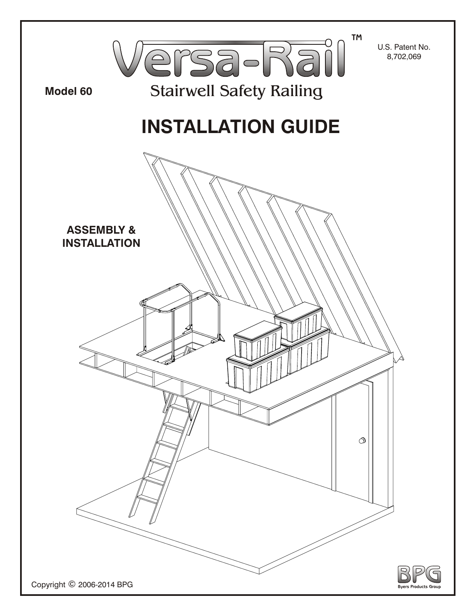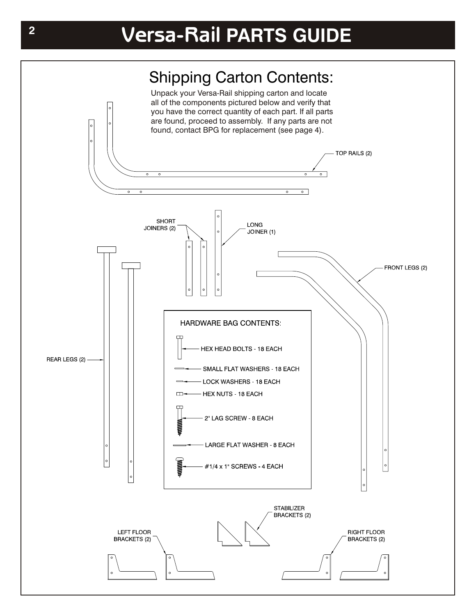## Shipping Carton Contents:

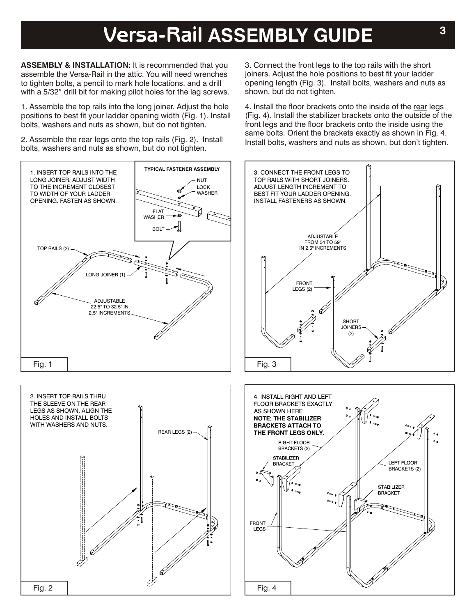## **<sup>3</sup> Versa-Rail ASSEMBLY GUIDE**

**ASSEMBLY & INSTALLATION:** It is recommended that you assemble the Versa-Rail in the attic. You will need wrenches to tighten bolts, a pencil to mark hole locations, and a drill with a 5/32" drill bit for making pilot holes for the lag screws.

1. Assemble the top rails into the long joiner. Adjust the hole positions to best fit your ladder opening width (Fig. 1). Install bolts, washers and nuts as shown, but do not tighten.

2. Assemble the rear legs onto the top rails (Fig. 2). Install bolts, washers and nuts as shown, but do not tighten.



3. Connect the front legs to the top rails with the short joiners. Adjust the hole positions to best fit your ladder opening length (Fig. 3). Install bolts, washers and nuts as shown, but do not tighten.

4. Install the floor brackets onto the inside of the rear legs (Fig. 4). Install the stabilizer brackets onto the outside of the front legs and the floor brackets onto the inside using the same bolts. Orient the brackets exactly as shown in Fig. 4. Install bolts, washers and nuts as shown, but don't tighten.